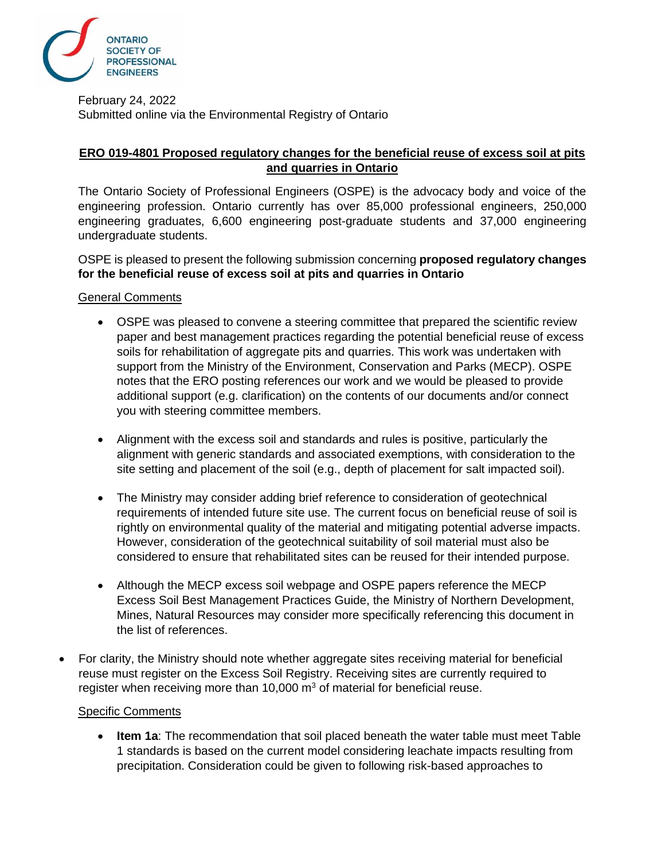

February 24, 2022 Submitted online via the Environmental Registry of Ontario

## **ERO 019-4801 Proposed regulatory changes for the beneficial reuse of excess soil at pits and quarries in Ontario**

The Ontario Society of Professional Engineers (OSPE) is the advocacy body and voice of the engineering profession. Ontario currently has over 85,000 professional engineers, 250,000 engineering graduates, 6,600 engineering post-graduate students and 37,000 engineering undergraduate students.

OSPE is pleased to present the following submission concerning **proposed regulatory changes for the beneficial reuse of excess soil at pits and quarries in Ontario**

## General Comments

- OSPE was pleased to convene a steering committee that prepared the scientific review paper and best management practices regarding the potential beneficial reuse of excess soils for rehabilitation of aggregate pits and quarries. This work was undertaken with support from the Ministry of the Environment, Conservation and Parks (MECP). OSPE notes that the ERO posting references our work and we would be pleased to provide additional support (e.g. clarification) on the contents of our documents and/or connect you with steering committee members.
- Alignment with the excess soil and standards and rules is positive, particularly the alignment with generic standards and associated exemptions, with consideration to the site setting and placement of the soil (e.g., depth of placement for salt impacted soil).
- The Ministry may consider adding brief reference to consideration of geotechnical requirements of intended future site use. The current focus on beneficial reuse of soil is rightly on environmental quality of the material and mitigating potential adverse impacts. However, consideration of the geotechnical suitability of soil material must also be considered to ensure that rehabilitated sites can be reused for their intended purpose.
- Although the MECP excess soil webpage and OSPE papers reference the MECP Excess Soil Best Management Practices Guide, the Ministry of Northern Development, Mines, Natural Resources may consider more specifically referencing this document in the list of references.
- For clarity, the Ministry should note whether aggregate sites receiving material for beneficial reuse must register on the Excess Soil Registry. Receiving sites are currently required to register when receiving more than 10,000  $m<sup>3</sup>$  of material for beneficial reuse.

## Specific Comments

• **Item 1a**: The recommendation that soil placed beneath the water table must meet Table 1 standards is based on the current model considering leachate impacts resulting from precipitation. Consideration could be given to following risk-based approaches to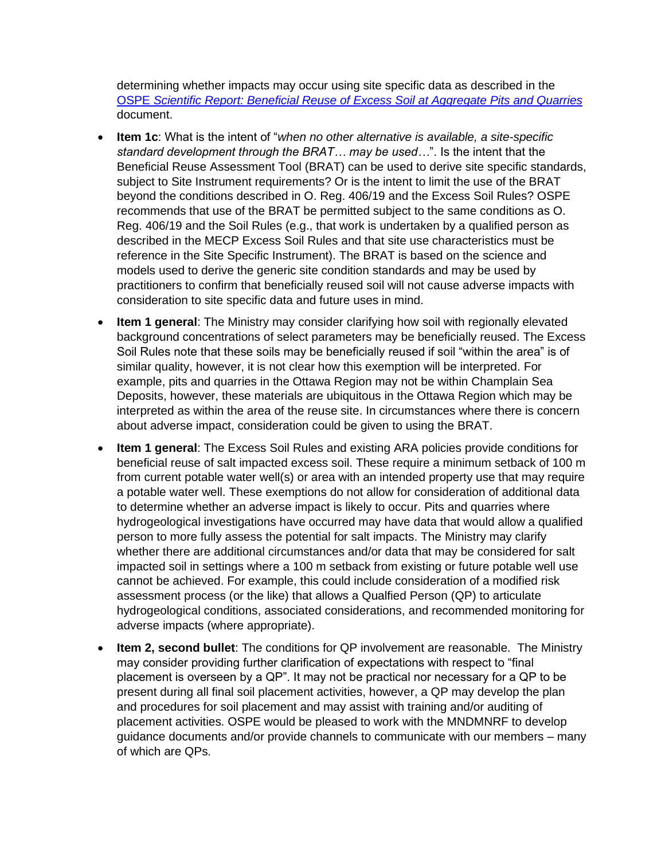determining whether impacts may occur using site specific data as described in the OSPE *[Scientific Report: Beneficial Reuse of Excess Soil at Aggregate Pits and Quarries](https://ospe.on.ca/wp-content/uploads/2021/04/April-19-2021-Scientific-Report-for-MECP.pdf)* document.

- **Item 1c**: What is the intent of "*when no other alternative is available, a site-specific standard development through the BRAT… may be used…*". Is the intent that the Beneficial Reuse Assessment Tool (BRAT) can be used to derive site specific standards, subject to Site Instrument requirements? Or is the intent to limit the use of the BRAT beyond the conditions described in O. Reg. 406/19 and the Excess Soil Rules? OSPE recommends that use of the BRAT be permitted subject to the same conditions as O. Reg. 406/19 and the Soil Rules (e.g., that work is undertaken by a qualified person as described in the MECP Excess Soil Rules and that site use characteristics must be reference in the Site Specific Instrument). The BRAT is based on the science and models used to derive the generic site condition standards and may be used by practitioners to confirm that beneficially reused soil will not cause adverse impacts with consideration to site specific data and future uses in mind.
- **Item 1 general:** The Ministry may consider clarifying how soil with regionally elevated background concentrations of select parameters may be beneficially reused. The Excess Soil Rules note that these soils may be beneficially reused if soil "within the area" is of similar quality, however, it is not clear how this exemption will be interpreted. For example, pits and quarries in the Ottawa Region may not be within Champlain Sea Deposits, however, these materials are ubiquitous in the Ottawa Region which may be interpreted as within the area of the reuse site. In circumstances where there is concern about adverse impact, consideration could be given to using the BRAT.
- **Item 1 general**: The Excess Soil Rules and existing ARA policies provide conditions for beneficial reuse of salt impacted excess soil. These require a minimum setback of 100 m from current potable water well(s) or area with an intended property use that may require a potable water well. These exemptions do not allow for consideration of additional data to determine whether an adverse impact is likely to occur. Pits and quarries where hydrogeological investigations have occurred may have data that would allow a qualified person to more fully assess the potential for salt impacts. The Ministry may clarify whether there are additional circumstances and/or data that may be considered for salt impacted soil in settings where a 100 m setback from existing or future potable well use cannot be achieved. For example, this could include consideration of a modified risk assessment process (or the like) that allows a Qualfied Person (QP) to articulate hydrogeological conditions, associated considerations, and recommended monitoring for adverse impacts (where appropriate).
- **Item 2, second bullet**: The conditions for QP involvement are reasonable. The Ministry may consider providing further clarification of expectations with respect to "final placement is overseen by a QP". It may not be practical nor necessary for a QP to be present during all final soil placement activities, however, a QP may develop the plan and procedures for soil placement and may assist with training and/or auditing of placement activities. OSPE would be pleased to work with the MNDMNRF to develop guidance documents and/or provide channels to communicate with our members – many of which are QPs.